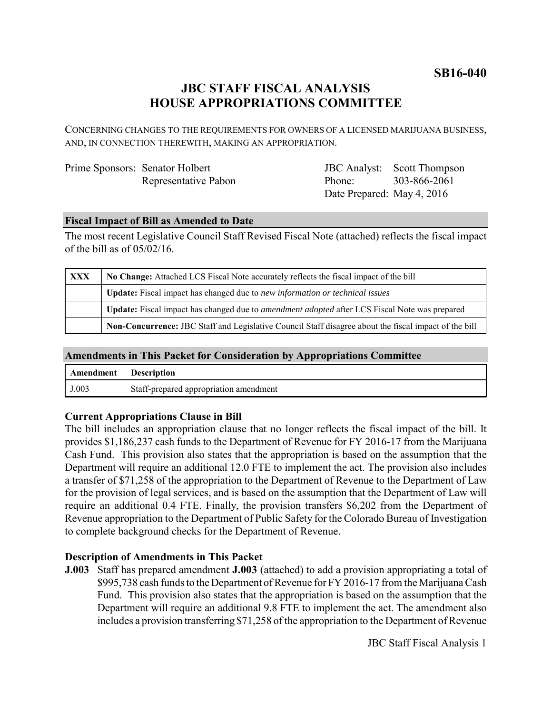**SB16-040**

# **JBC STAFF FISCAL ANALYSIS HOUSE APPROPRIATIONS COMMITTEE**

CONCERNING CHANGES TO THE REQUIREMENTS FOR OWNERS OF A LICENSED MARIJUANA BUSINESS, AND, IN CONNECTION THEREWITH, MAKING AN APPROPRIATION.

| Prime Sponsors: Senator Holbert |                      |
|---------------------------------|----------------------|
|                                 | Representative Pabon |

JBC Analyst: Scott Thompson Phone: Date Prepared: May 4, 2016 303-866-2061

#### **Fiscal Impact of Bill as Amended to Date**

The most recent Legislative Council Staff Revised Fiscal Note (attached) reflects the fiscal impact of the bill as of 05/02/16.

| XXX | No Change: Attached LCS Fiscal Note accurately reflects the fiscal impact of the bill                       |  |
|-----|-------------------------------------------------------------------------------------------------------------|--|
|     | <b>Update:</b> Fiscal impact has changed due to new information or technical issues                         |  |
|     | <b>Update:</b> Fiscal impact has changed due to <i>amendment adopted</i> after LCS Fiscal Note was prepared |  |
|     | Non-Concurrence: JBC Staff and Legislative Council Staff disagree about the fiscal impact of the bill       |  |

## **Amendments in This Packet for Consideration by Appropriations Committee**

| <b>Amendment</b> Description |                                        |
|------------------------------|----------------------------------------|
| J.003                        | Staff-prepared appropriation amendment |

## **Current Appropriations Clause in Bill**

The bill includes an appropriation clause that no longer reflects the fiscal impact of the bill. It provides \$1,186,237 cash funds to the Department of Revenue for FY 2016-17 from the Marijuana Cash Fund. This provision also states that the appropriation is based on the assumption that the Department will require an additional 12.0 FTE to implement the act. The provision also includes a transfer of \$71,258 of the appropriation to the Department of Revenue to the Department of Law for the provision of legal services, and is based on the assumption that the Department of Law will require an additional 0.4 FTE. Finally, the provision transfers \$6,202 from the Department of Revenue appropriation to the Department of Public Safety for the Colorado Bureau of Investigation to complete background checks for the Department of Revenue.

## **Description of Amendments in This Packet**

**J.003** Staff has prepared amendment **J.003** (attached) to add a provision appropriating a total of \$995,738 cash funds to the Department of Revenue for FY 2016-17 from the Marijuana Cash Fund. This provision also states that the appropriation is based on the assumption that the Department will require an additional 9.8 FTE to implement the act. The amendment also includes a provision transferring \$71,258 of the appropriation to the Department of Revenue